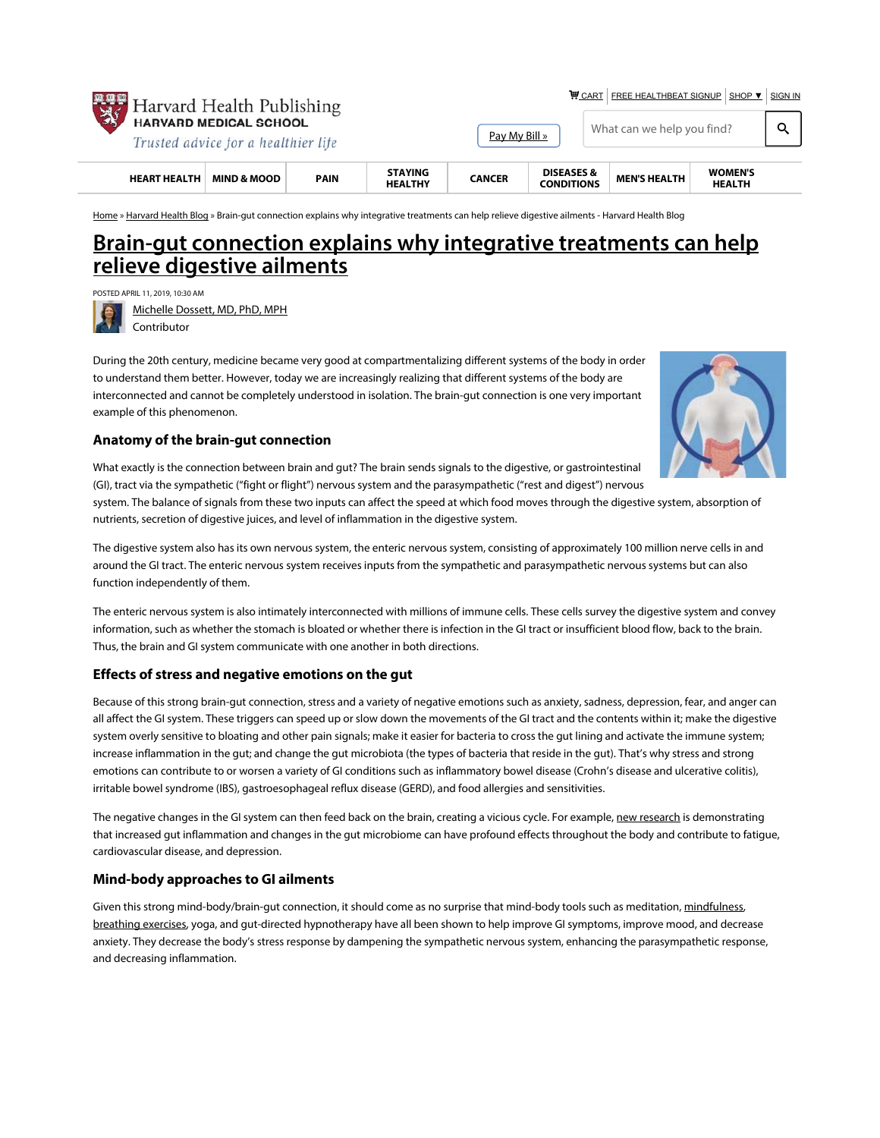

**WE CART FREE HEALTHBEAT SIGNUP SHOP ▼ SIGN IN** 

| <b>HEART HEALTH</b>                                                     | <b>MIND &amp; MOOD</b> | PAIN | <b>STAYING</b><br><b>HEALTHY</b> | <b>CANCER</b> | <b>DISEASES &amp;</b><br><b>CONDITIONS</b> | <b>MEN'S HEALTH</b>        | <b>WOMEN'S</b><br><b>HEALTH</b> |  |
|-------------------------------------------------------------------------|------------------------|------|----------------------------------|---------------|--------------------------------------------|----------------------------|---------------------------------|--|
| <b>47 HARVARD MEDICAL SCHOOL</b><br>Trusted advice for a healthier life |                        |      |                                  | Pav My Bill » |                                            | What can we help you find? |                                 |  |

Home » Harvard Health Blog » Brain-gut connection explains why integrative treatments can help relieve digestive ailments - Harvard Health Blog

# Brain-gut connection explains why integrative treatments can help relieve digestive ailments

POSTED APRIL 11, 2019, 10:30 AM

Michelle Dossett, MD, PhD, MPH Contributor

During the 20th century, medicine became very good at compartmentalizing different systems of the body in order to understand them better. However, today we are increasingly realizing that different systems of the body are interconnected and cannot be completely understood in isolation. The brain-gut connection is one very important example of this phenomenon.



## Anatomy of the brain-gut connection

What exactly is the connection between brain and gut? The brain sends signals to the digestive, or gastrointestinal (GI), tract via the sympathetic ("fight or flight") nervous system and the parasympathetic ("rest and digest") nervous

system. The balance of signals from these two inputs can affect the speed at which food moves through the digestive system, absorption of nutrients, secretion of digestive juices, and level of inflammation in the digestive system.

The digestive system also has its own nervous system, the enteric nervous system, consisting of approximately 100 million nerve cells in and around the GI tract. The enteric nervous system receives inputs from the sympathetic and parasympathetic nervous systems but can also function independently of them.

The enteric nervous system is also intimately interconnected with millions of immune cells. These cells survey the digestive system and convey information, such as whether the stomach is bloated or whether there is infection in the GI tract or insufficient blood flow, back to the brain. Thus, the brain and GI system communicate with one another in both directions.

# Effects of stress and negative emotions on the gut

Because of this strong brain-gut connection, stress and a variety of negative emotions such as anxiety, sadness, depression, fear, and anger can all affect the GI system. These triggers can speed up or slow down the movements of the GI tract and the contents within it; make the digestive system overly sensitive to bloating and other pain signals; make it easier for bacteria to cross the gut lining and activate the immune system; increase inflammation in the gut; and change the gut microbiota (the types of bacteria that reside in the gut). That's why stress and strong emotions can contribute to or worsen a variety of GI conditions such as inflammatory bowel disease (Crohn's disease and ulcerative colitis), irritable bowel syndrome (IBS), gastroesophageal reflux disease (GERD), and food allergies and sensitivities.

The negative changes in the GI system can then feed back on the brain, creating a vicious cycle. For example, new research is demonstrating that increased gut inflammation and changes in the gut microbiome can have profound effects throughout the body and contribute to fatigue, cardiovascular disease, and depression.

# Mind-body approaches to GI ailments

Given this strong mind-body/brain-gut connection, it should come as no surprise that mind-body tools such as meditation, mindfulness, breathing exercises, yoga, and gut-directed hypnotherapy have all been shown to help improve GI symptoms, improve mood, and decrease anxiety. They decrease the body's stress response by dampening the sympathetic nervous system, enhancing the parasympathetic response, and decreasing inflammation.